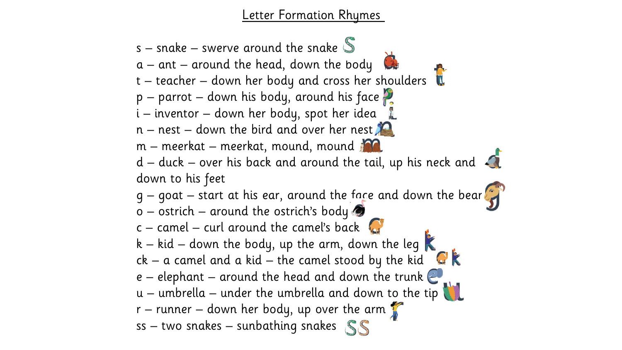Letter Formation Rhymes

s – snake – swerve around the snake  $\mathbb S$  $a$  – ant – around the head, down the body  $t - teacher - down her body and cross her shoulders$  $p$  – parrot – down his body, around his face i – inventor – down her body, spot her idea  $n -$  nest – down the bird and over her nest m – meerkat – meerkat, mound, mound  $d$  – duck – over his back and around the tail, up his neck and  $\mathcal{A}$ down to his feet  $g -$  goat – start at his ear, around the face and down the bear  $G$  $o$  – ostrich – around the ostrich's body  $c -$  camel – curl around the camel's back k – kid – down the body, up the arm, down the leg  $ck - a$  camel and a kid – the camel stood by the kid e – elephant – around the head and down the trunk  $\mathbb{C}$ u – umbrella – under the umbrella and down to the tip  $r$  – runner – down her body, up over the arm  $r$ ss – two snakes – sunbathing snakes SS